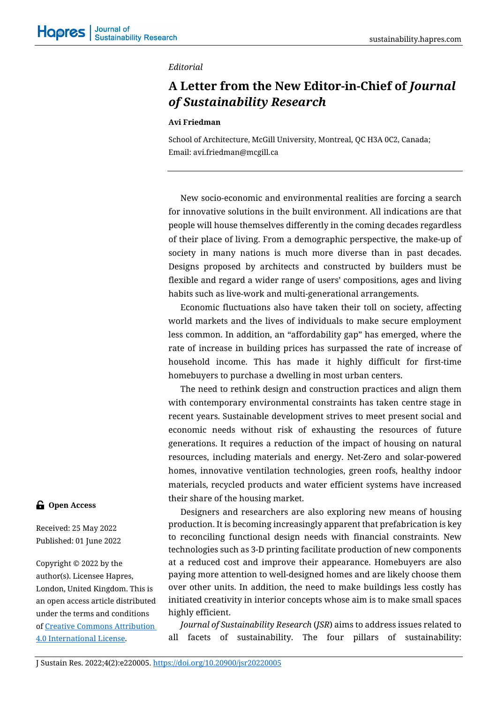## *Editorial*

## **A Letter from the New Editor-in-Chief of** *Journal of Sustainability Research*

## **Avi Friedman**

School of Architecture, McGill University, Montreal, QC H3A 0C2, Canada; Email[: avi.friedman@mcgill.ca](mailto:avi.friedman@mcgill.ca)

New socio-economic and environmental realities are forcing a search for innovative solutions in the built environment. All indications are that people will house themselves differently in the coming decades regardless of their place of living. From a demographic perspective, the make-up of society in many nations is much more diverse than in past decades. Designs proposed by architects and constructed by builders must be flexible and regard a wider range of users' compositions, ages and living habits such as live-work and multi-generational arrangements.

Economic fluctuations also have taken their toll on society, affecting world markets and the lives of individuals to make secure employment less common. In addition, an "affordability gap" has emerged, where the rate of increase in building prices has surpassed the rate of increase of household income. This has made it highly difficult for first-time homebuyers to purchase a dwelling in most urban centers.

The need to rethink design and construction practices and align them with contemporary environmental constraints has taken centre stage in recent years. Sustainable development strives to meet present social and economic needs without risk of exhausting the resources of future generations. It requires a reduction of the impact of housing on natural resources, including materials and energy. Net-Zero and solar-powered homes, innovative ventilation technologies, green roofs, healthy indoor materials, recycled products and water efficient systems have increased their share of the housing market.

Designers and researchers are also exploring new means of housing production. It is becoming increasingly apparent that prefabrication is key to reconciling functional design needs with financial constraints. New technologies such as 3-D printing facilitate production of new components at a reduced cost and improve their appearance. Homebuyers are also paying more attention to well-designed homes and are likely choose them over other units. In addition, the need to make buildings less costly has initiated creativity in interior concepts whose aim is to make small spaces highly efficient.

*Journal of Sustainability Research* (*JSR*) aims to address issues related to all facets of sustainability. The four pillars of sustainability:

## **G** Open Access

Received: 25 May 2022 Published: 01 June 2022

Copyright © 2022 by the author(s). Licensee Hapres, London, United Kingdom. This is an open access article distributed under the terms and conditions of [Creative Commons Attribution](https://creativecommons.org/licenses/by/4.0/)  [4.0 International License.](https://creativecommons.org/licenses/by/4.0/)